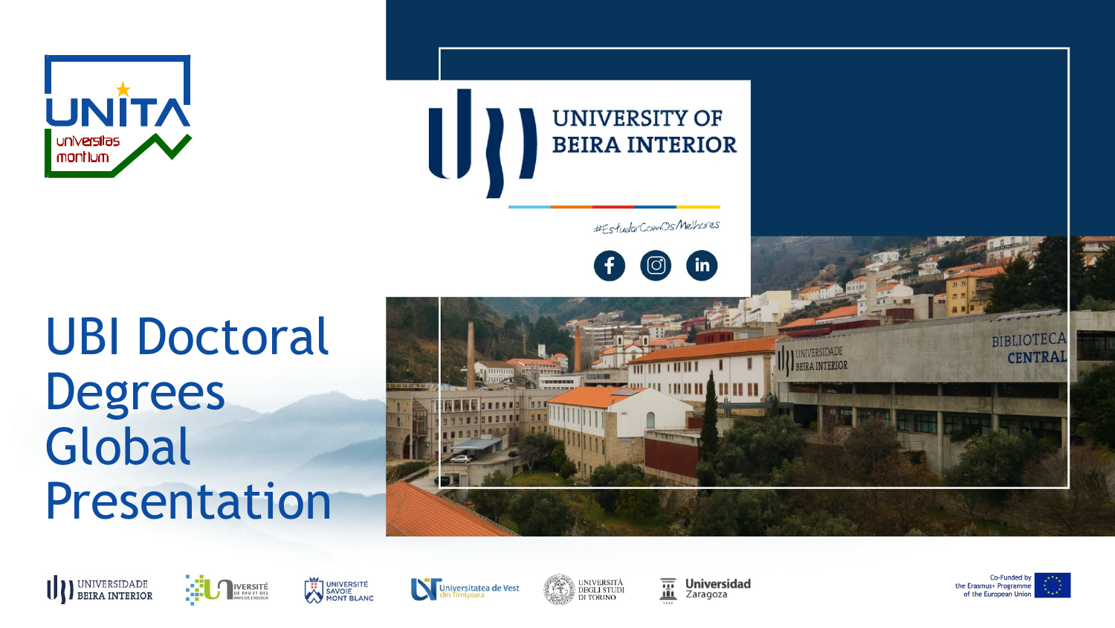

### **UBI Doctoral Degrees** Global Presentation



#EstudarComOs/Melhores

in

## **THERES TILLIII**  $\mathbf{H}$  in  $\mathbf{H}$







Universitatea de Vest



薑 **Universidad** Zaragoza



**BIBLIOTECA CENTRA**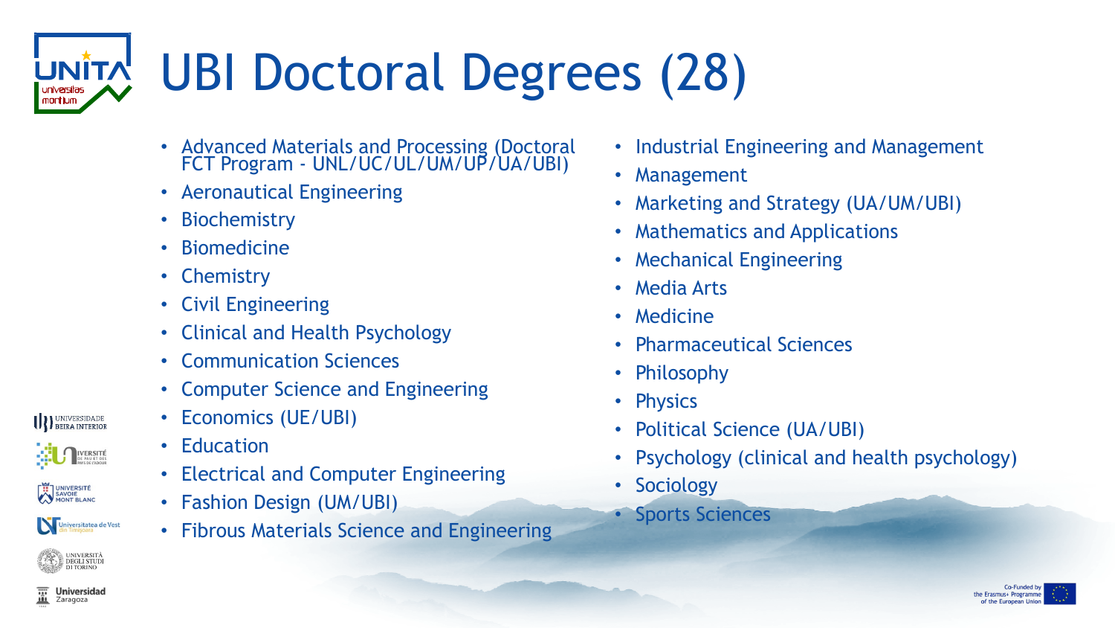### UBI Doctoral Degrees (28) montium

- Advanced Materials and Processing (Doctoral FCT Program - UNL/UC/UL/UM/UP/UA/UBI)
- Aeronautical Engineering
- **Biochemistry**
- **Biomedicine**
- Chemistry
- Civil Engineering
- Clinical and Health Psychology
- Communication Sciences
- Computer Science and Engineering
- Economics (UE/UBI)
- Education
- Electrical and Computer Engineering
- Fashion Design (UM/UBI)
- Fibrous Materials Science and Engineering
- Industrial Engineering and Management
- Management
- Marketing and Strategy (UA/UM/UBI)
- Mathematics and Applications
- Mechanical Engineering
- Media Arts
- Medicine
- Pharmaceutical Sciences
- Philosophy
- Physics
- Political Science (UA/UBI)
- Psychology (clinical and health psychology)
- Sociology
- **Sports Sciences**



**Universidad** Zaragoza

**III** BEIRA INTERIOR

**UNIVERSITÉ** SAVOIE

**IVERSITÉ** 

Universitatea de Vest

UNIVERSITÀ<br>DEGLI STUDI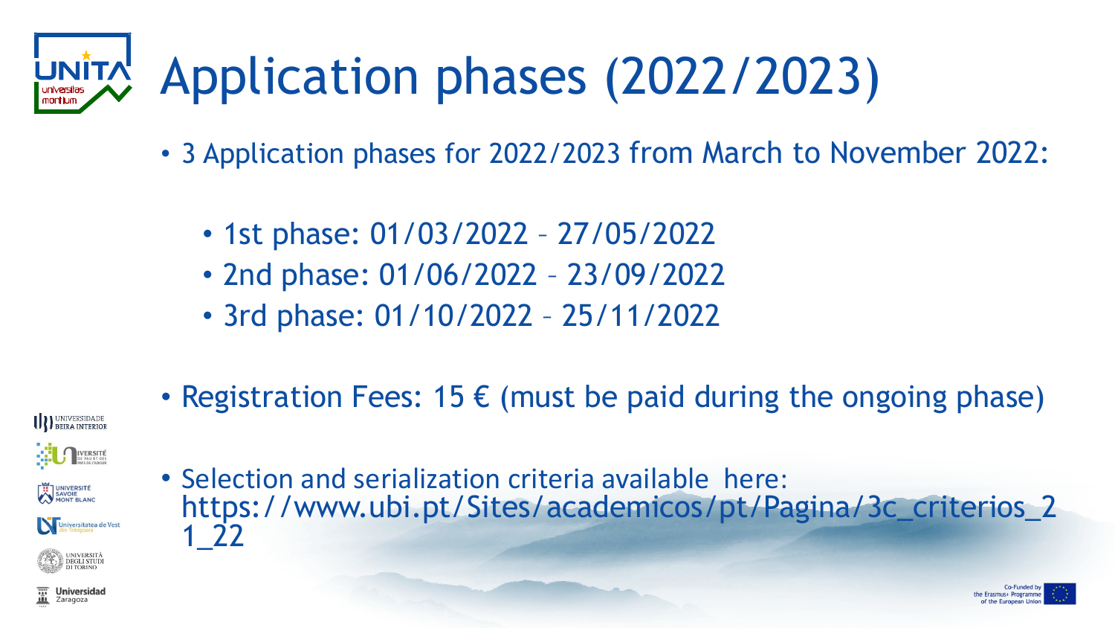### Application phases (2022/2023)

- 3 Application phases for 2022/2023 from March to November 2022:
	- 1st phase: 01/03/2022 27/05/2022
	- 2nd phase: 01/06/2022 23/09/2022
	- 3rd phase: 01/10/2022 25/11/2022
- Registration Fees: 15  $\epsilon$  (must be paid during the ongoing phase)



• Selection and serialization criteria available here: https://www.ubi.pt/Sites/academicos/pt/Pagina/3c\_criterios\_2 1\_22

**DEGLI STUDI** 

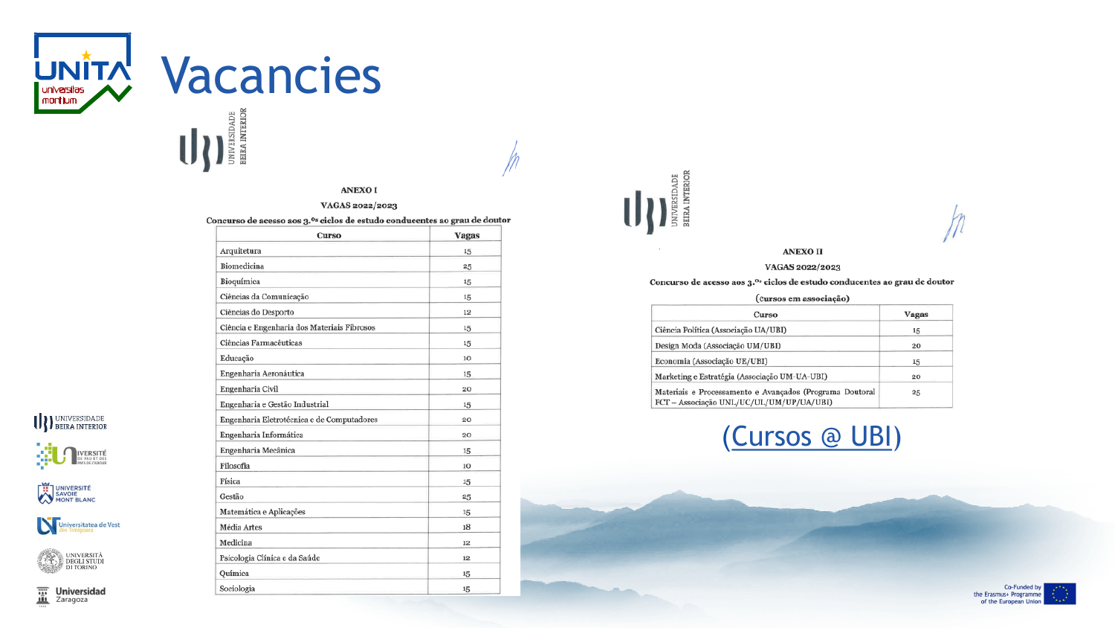

# UNITA Vacancies

### $\bigcup$

### **ANEXOI**

### VAGAS 2022/2023

### Concurso de acesso aos 3.<sup>0s</sup> ciclos de estudo conducentes ao grau de doutor

| Curso                                       | Vagas |
|---------------------------------------------|-------|
| Arquitetura                                 | 15    |
| Biomedicina                                 | 25    |
| Bioquímica                                  | 15    |
| Ciências da Comunicação                     | 15    |
| Ciências do Desporto                        | 12    |
| Ciência e Engenharia dos Materiais Fibrosos | 15    |
| Ciências Farmacêuticas                      | 15    |
| Educação                                    | 10    |
| Engenharia Aeronáutica                      | 15    |
| Engenharia Civil                            | 20    |
| Engenharia e Gestão Industrial              | 15    |
| Engenharia Eletrotécnica e de Computadores  | 20    |
| Engenharia Informática                      | 20    |
| Engenharia Mecânica                         | 15    |
| Filosofia                                   | 10    |
| Física                                      | 15    |
| Gestão                                      | 25    |
| Matemática e Aplicações                     | 15    |
| Média Artes                                 | 18    |
| Medicina                                    | 12    |
| Psicologia Clínica e da Saúde               | 12    |
| Química                                     | 15    |
| Sociologia                                  | 15    |



### **ANEXO II**

### VAGAS 2022/2023

Concurso de acesso aos 3.ºs ciclos de estudo conducentes ao grau de doutor

(cursos em associação)

| Curso                                                                                                | Vagas |
|------------------------------------------------------------------------------------------------------|-------|
| Ciência Política (Associação UA/UBI)                                                                 | 15    |
| Design Moda (Associação UM/UBI)                                                                      | 20    |
| Economia (Associação UE/UBI)                                                                         | 15    |
| Marketing e Estratégia (Associação UM-UA-UBI)                                                        | 20    |
| Materiais e Processamento e Avançados (Programa Doutoral<br>FCT - Associação UNL/UC/UL/UM/UP/UA/UBI) | 25    |





UNIVERSIDADE



**WANDERSITE** 





 $\overline{\mathbf{m}}$  Universion **Universidad**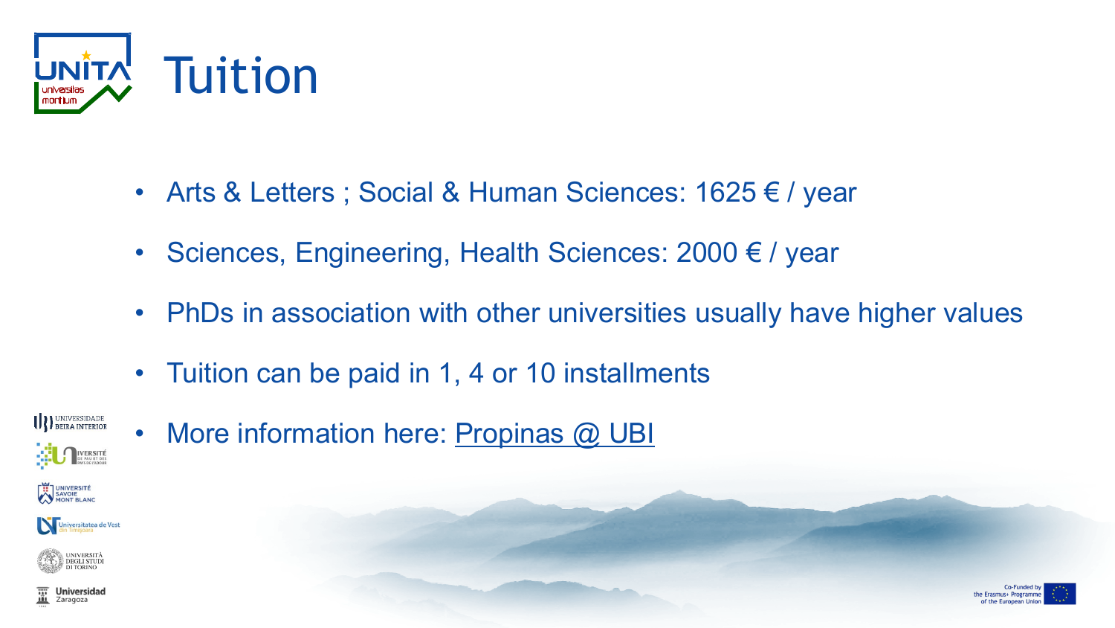

- Arts & Letters ; Social & Human Sciences: 1625 € / year
- Sciences, Engineering, Health Sciences: 2000 € / year
- PhDs in association with other universities usually have higher values
- Tuition can be paid in 1, 4 or 10 installments



• More information here: [Propinas @ UBI](https://www.ubi.pt/Pagina/propinas)